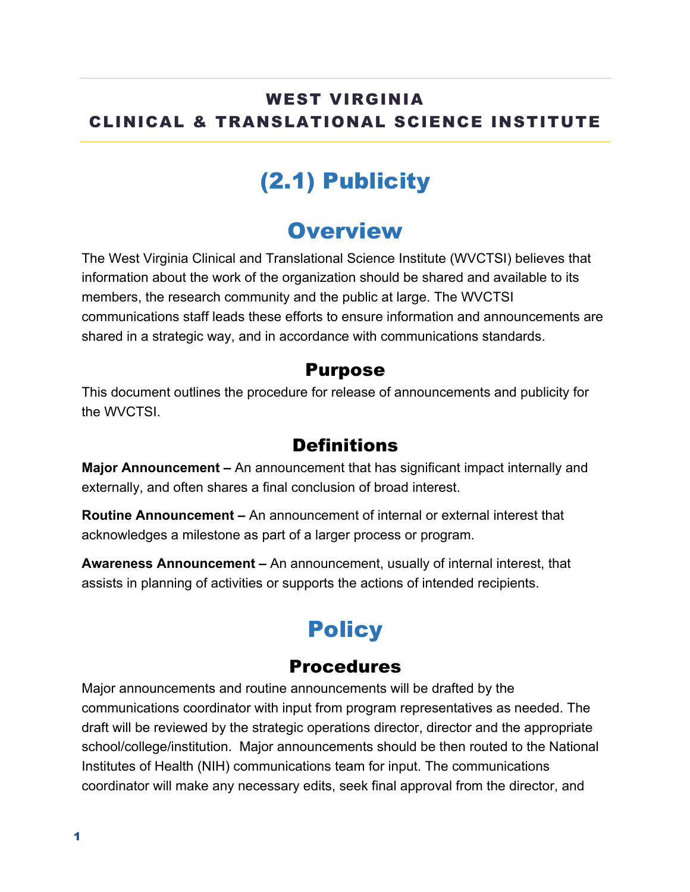### WEST VIRGINIA CLINICAL & TRANSLATIONAL SCIENCE INSTITUTE

# (2.1) Publicity

### **Overview**

The West Virginia Clinical and Translational Science Institute (WVCTSI) believes that information about the work of the organization should be shared and available to its members, the research community and the public at large. The WVCTSI communications staff leads these efforts to ensure information and announcements are shared in a strategic way, and in accordance with communications standards.

#### Purpose

This document outlines the procedure for release of announcements and publicity for the WVCTSI

### **Definitions**

**Major Announcement –** An announcement that has significant impact internally and externally, and often shares a final conclusion of broad interest.

**Routine Announcement –** An announcement of internal or external interest that acknowledges a milestone as part of a larger process or program.

**Awareness Announcement –** An announcement, usually of internal interest, that assists in planning of activities or supports the actions of intended recipients.

# **Policy**

### Procedures

Major announcements and routine announcements will be drafted by the communications coordinator with input from program representatives as needed. The draft will be reviewed by the strategic operations director, director and the appropriate school/college/institution. Major announcements should be then routed to the National Institutes of Health (NIH) communications team for input. The communications coordinator will make any necessary edits, seek final approval from the director, and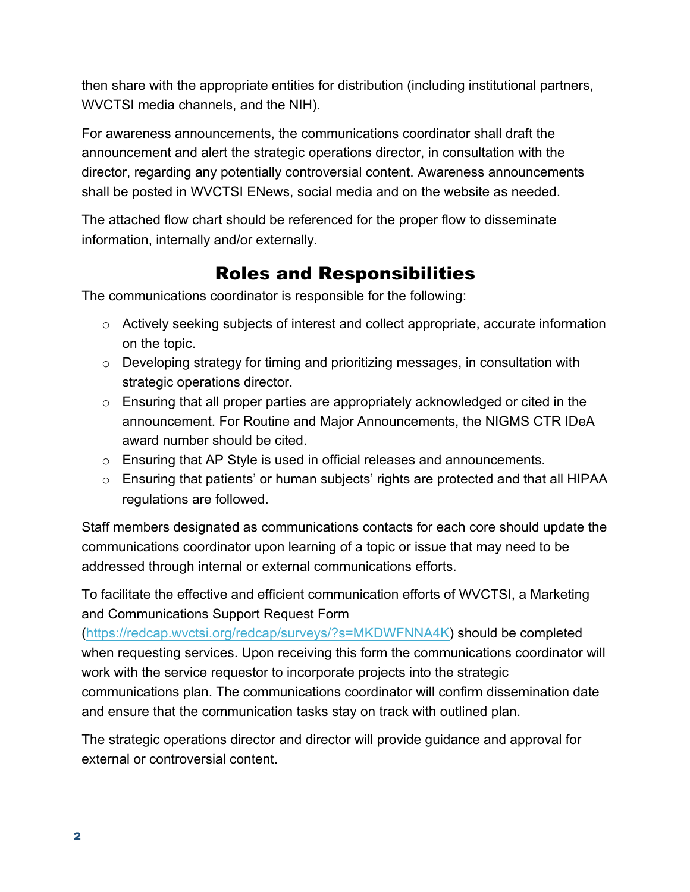then share with the appropriate entities for distribution (including institutional partners, WVCTSI media channels, and the NIH).

For awareness announcements, the communications coordinator shall draft the announcement and alert the strategic operations director, in consultation with the director, regarding any potentially controversial content. Awareness announcements shall be posted in WVCTSI ENews, social media and on the website as needed.

The attached flow chart should be referenced for the proper flow to disseminate information, internally and/or externally.

### Roles and Responsibilities

The communications coordinator is responsible for the following:

- $\circ$  Actively seeking subjects of interest and collect appropriate, accurate information on the topic.
- o Developing strategy for timing and prioritizing messages, in consultation with strategic operations director.
- o Ensuring that all proper parties are appropriately acknowledged or cited in the announcement. For Routine and Major Announcements, the NIGMS CTR IDeA award number should be cited.
- $\circ$  Ensuring that AP Style is used in official releases and announcements.
- o Ensuring that patients' or human subjects' rights are protected and that all HIPAA regulations are followed.

Staff members designated as communications contacts for each core should update the communications coordinator upon learning of a topic or issue that may need to be addressed through internal or external communications efforts.

To facilitate the effective and efficient communication efforts of WVCTSI, a Marketing and Communications Support Request Form

(https://redcap.wvctsi.org/redcap/surveys/?s=MKDWFNNA4K) should be completed when requesting services. Upon receiving this form the communications coordinator will work with the service requestor to incorporate projects into the strategic communications plan. The communications coordinator will confirm dissemination date and ensure that the communication tasks stay on track with outlined plan.

The strategic operations director and director will provide guidance and approval for external or controversial content.